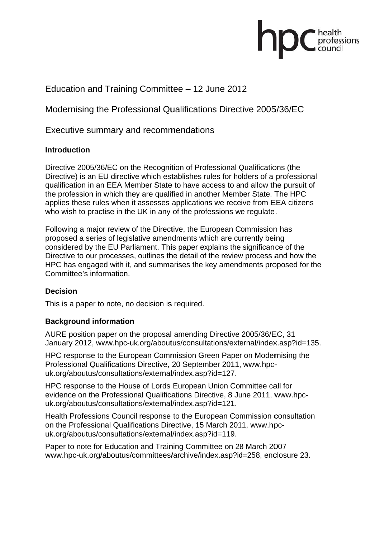# fessions

# Education and Training Committee - 12 June 2012

Modernising the Professional Qualifications Directive 2005/36/EC

Executive summary and recommendations

## Introduction

Directive 2005/36/EC on the Recognition of Professional Qualifications (the Directive) is an EU directive which establishes rules for holders of a professional qualification in an EEA Member State to have access to and allow the pursuit of the profession in which they are qualified in another Member State. The HPC applies these rules when it assesses applications we receive from EEA citizens who wish to practise in the UK in any of the professions we regulate.

Following a major review of the Directive, the European Commission has proposed a series of legislative amendments which are currently being considered by the EU Parliament. This paper explains the significance of the Directive to our processes, outlines the detail of the review process and how the HPC has engaged with it, and summarises the key amendments proposed for the Committee's information

## **Decision**

This is a paper to note, no decision is required.

## **Background information**

AURE position paper on the proposal amending Directive 2005/36/EC, 31 January 2012, www.hpc-uk.org/aboutus/consultations/external/index.asp?id=135.

HPC response to the European Commission Green Paper on Modernising the Professional Qualifications Directive, 20 September 2011, www.hpcuk.org/aboutus/consultations/external/index.asp?id=127.

HPC response to the House of Lords European Union Committee call for evidence on the Professional Qualifications Directive, 8 June 2011, www.hpcuk.org/aboutus/consultations/external/index.asp?id=121.

Health Professions Council response to the European Commission consultation on the Professional Qualifications Directive, 15 March 2011, www.hpcuk.org/aboutus/consultations/external/index.asp?id=119.

Paper to note for Education and Training Committee on 28 March 2007 www.hpc-uk.org/aboutus/committees/archive/index.asp?id=258, enclosure 23.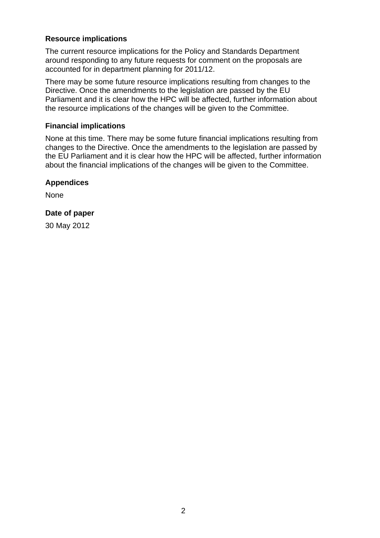## **Resource implications**

The current resource implications for the Policy and Standards Department around responding to any future requests for comment on the proposals are accounted for in department planning for 2011/12.

There may be some future resource implications resulting from changes to the Directive. Once the amendments to the legislation are passed by the EU Parliament and it is clear how the HPC will be affected, further information about the resource implications of the changes will be given to the Committee.

#### **Financial implications**

None at this time. There may be some future financial implications resulting from changes to the Directive. Once the amendments to the legislation are passed by the EU Parliament and it is clear how the HPC will be affected, further information about the financial implications of the changes will be given to the Committee.

## **Appendices**

None

## **Date of paper**

30 May 2012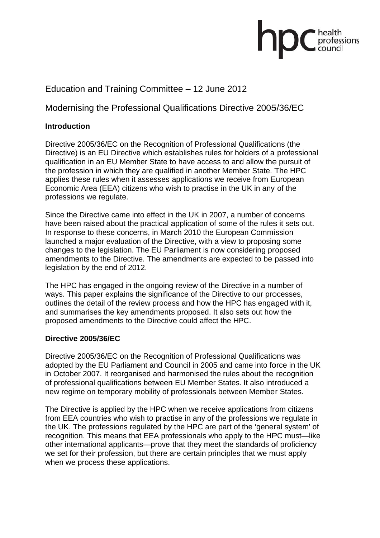# professions

## Education and Training Committee - 12 June 2012

## Modernising the Professional Qualifications Directive 2005/36/EC

## **Introduction**

Directive 2005/36/EC on the Recognition of Professional Qualifications (the Directive) is an EU Directive which establishes rules for holders of a professional qualification in an EU Member State to have access to and allow the pursuit of the profession in which they are qualified in another Member State. The HPC applies these rules when it assesses applications we receive from European Economic Area (EEA) citizens who wish to practise in the UK in any of the professions we regulate.

Since the Directive came into effect in the UK in 2007, a number of concerns have been raised about the practical application of some of the rules it sets out. In response to these concerns, in March 2010 the European Commission launched a major evaluation of the Directive, with a view to proposing some changes to the legislation. The EU Parliament is now considering proposed amendments to the Directive. The amendments are expected to be passed into legislation by the end of 2012.

The HPC has engaged in the ongoing review of the Directive in a number of ways. This paper explains the significance of the Directive to our processes, outlines the detail of the review process and how the HPC has engaged with it, and summarises the key amendments proposed. It also sets out how the proposed amendments to the Directive could affect the HPC.

## Directive 2005/36/EC

Directive 2005/36/EC on the Recognition of Professional Qualifications was adopted by the EU Parliament and Council in 2005 and came into force in the UK in October 2007. It reorganised and harmonised the rules about the recognition of professional qualifications between EU Member States. It also introduced a new regime on temporary mobility of professionals between Member States.

The Directive is applied by the HPC when we receive applications from citizens from EEA countries who wish to practise in any of the professions we regulate in the UK. The professions regulated by the HPC are part of the 'general system' of recognition. This means that EEA professionals who apply to the HPC must-like other international applicants—prove that they meet the standards of proficiency we set for their profession, but there are certain principles that we must apply when we process these applications.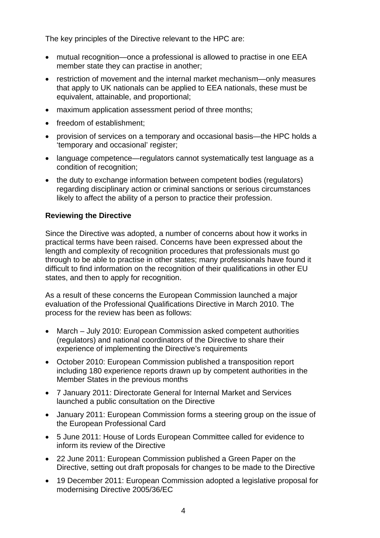The key principles of the Directive relevant to the HPC are:

- mutual recognition—once a professional is allowed to practise in one EEA member state they can practise in another;
- restriction of movement and the internal market mechanism—only measures that apply to UK nationals can be applied to EEA nationals, these must be equivalent, attainable, and proportional;
- maximum application assessment period of three months;
- freedom of establishment;
- provision of services on a temporary and occasional basis—the HPC holds a 'temporary and occasional' register;
- language competence—regulators cannot systematically test language as a condition of recognition;
- the duty to exchange information between competent bodies (regulators) regarding disciplinary action or criminal sanctions or serious circumstances likely to affect the ability of a person to practice their profession.

## **Reviewing the Directive**

Since the Directive was adopted, a number of concerns about how it works in practical terms have been raised. Concerns have been expressed about the length and complexity of recognition procedures that professionals must go through to be able to practise in other states; many professionals have found it difficult to find information on the recognition of their qualifications in other EU states, and then to apply for recognition.

As a result of these concerns the European Commission launched a major evaluation of the Professional Qualifications Directive in March 2010. The process for the review has been as follows:

- March July 2010: European Commission asked competent authorities (regulators) and national coordinators of the Directive to share their experience of implementing the Directive's requirements
- October 2010: European Commission published a transposition report including 180 experience reports drawn up by competent authorities in the Member States in the previous months
- 7 January 2011: Directorate General for Internal Market and Services launched a public consultation on the Directive
- January 2011: European Commission forms a steering group on the issue of the European Professional Card
- 5 June 2011: House of Lords European Committee called for evidence to inform its review of the Directive
- 22 June 2011: European Commission published a Green Paper on the Directive, setting out draft proposals for changes to be made to the Directive
- 19 December 2011: European Commission adopted a legislative proposal for modernising Directive 2005/36/EC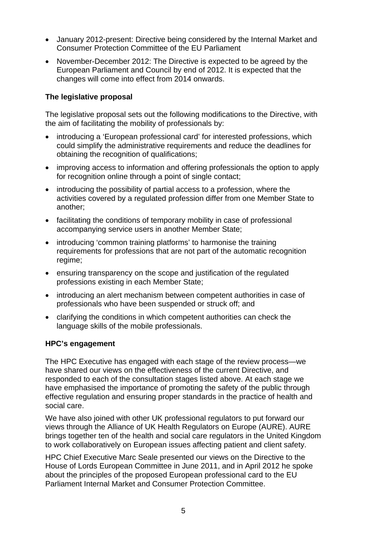- January 2012-present: Directive being considered by the Internal Market and Consumer Protection Committee of the EU Parliament
- November-December 2012: The Directive is expected to be agreed by the European Parliament and Council by end of 2012. It is expected that the changes will come into effect from 2014 onwards.

## **The legislative proposal**

The legislative proposal sets out the following modifications to the Directive, with the aim of facilitating the mobility of professionals by:

- introducing a 'European professional card' for interested professions, which could simplify the administrative requirements and reduce the deadlines for obtaining the recognition of qualifications;
- improving access to information and offering professionals the option to apply for recognition online through a point of single contact;
- introducing the possibility of partial access to a profession, where the activities covered by a regulated profession differ from one Member State to another;
- facilitating the conditions of temporary mobility in case of professional accompanying service users in another Member State;
- introducing 'common training platforms' to harmonise the training requirements for professions that are not part of the automatic recognition regime;
- ensuring transparency on the scope and justification of the regulated professions existing in each Member State;
- introducing an alert mechanism between competent authorities in case of professionals who have been suspended or struck off; and
- clarifying the conditions in which competent authorities can check the language skills of the mobile professionals.

## **HPC's engagement**

The HPC Executive has engaged with each stage of the review process—we have shared our views on the effectiveness of the current Directive, and responded to each of the consultation stages listed above. At each stage we have emphasised the importance of promoting the safety of the public through effective regulation and ensuring proper standards in the practice of health and social care.

We have also joined with other UK professional regulators to put forward our views through the Alliance of UK Health Regulators on Europe (AURE). AURE brings together ten of the health and social care regulators in the United Kingdom to work collaboratively on European issues affecting patient and client safety.

HPC Chief Executive Marc Seale presented our views on the Directive to the House of Lords European Committee in June 2011, and in April 2012 he spoke about the principles of the proposed European professional card to the EU Parliament Internal Market and Consumer Protection Committee.